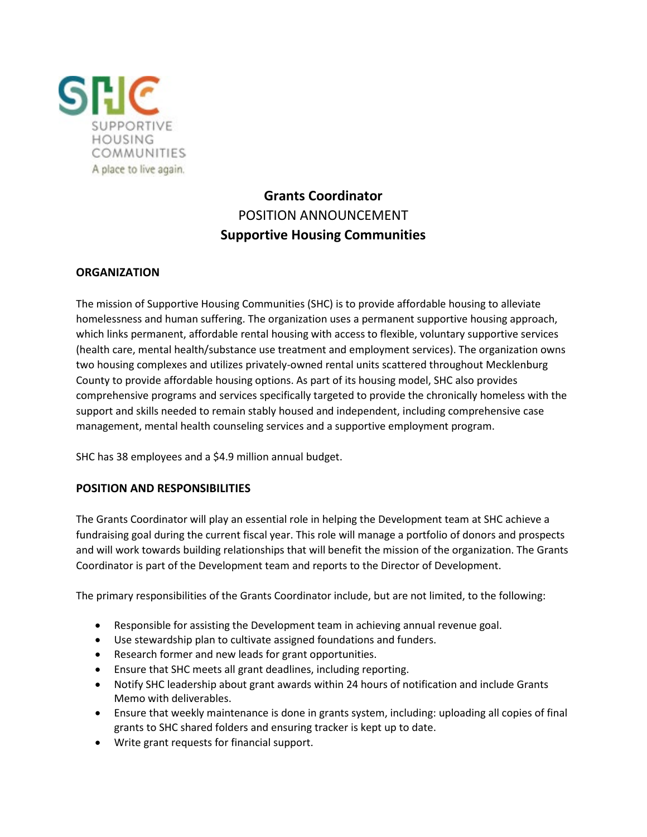

# **Grants Coordinator** POSITION ANNOUNCEMENT **Supportive Housing Communities**

# **ORGANIZATION**

The mission of Supportive Housing Communities (SHC) is to provide affordable housing to alleviate homelessness and human suffering. The organization uses a permanent supportive housing approach, which links permanent, affordable rental housing with access to flexible, voluntary supportive services (health care, mental health/substance use treatment and employment services). The organization owns two housing complexes and utilizes privately-owned rental units scattered throughout Mecklenburg County to provide affordable housing options. As part of its housing model, SHC also provides comprehensive programs and services specifically targeted to provide the chronically homeless with the support and skills needed to remain stably housed and independent, including comprehensive case management, mental health counseling services and a supportive employment program.

SHC has 38 employees and a \$4.9 million annual budget.

# **POSITION AND RESPONSIBILITIES**

The Grants Coordinator will play an essential role in helping the Development team at SHC achieve a fundraising goal during the current fiscal year. This role will manage a portfolio of donors and prospects and will work towards building relationships that will benefit the mission of the organization. The Grants Coordinator is part of the Development team and reports to the Director of Development.

The primary responsibilities of the Grants Coordinator include, but are not limited, to the following:

- Responsible for assisting the Development team in achieving annual revenue goal.
- Use stewardship plan to cultivate assigned foundations and funders.
- Research former and new leads for grant opportunities.
- Ensure that SHC meets all grant deadlines, including reporting.
- Notify SHC leadership about grant awards within 24 hours of notification and include Grants Memo with deliverables.
- Ensure that weekly maintenance is done in grants system, including: uploading all copies of final grants to SHC shared folders and ensuring tracker is kept up to date.
- Write grant requests for financial support.